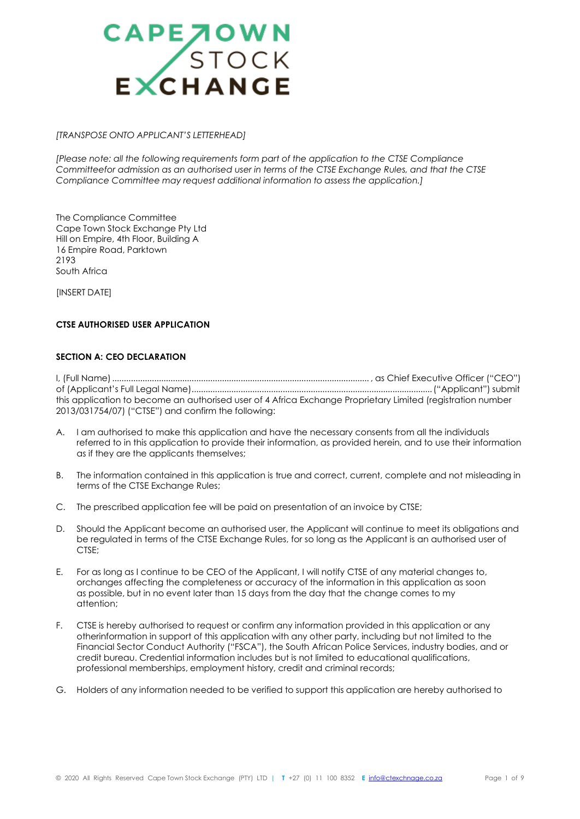

#### *[TRANSPOSE ONTO APPLICANT'S LETTERHEAD]*

*[Please note: all the following requirements form part of the application to the CTSE Compliance Committeefor admission as an authorised user in terms of the CTSE Exchange Rules, and that the CTSE Compliance Committee may request additional information to assess the application.]*

The Compliance Committee Cape Town Stock Exchange Pty Ltd Hill on Empire, 4th Floor, Building A 16 Empire Road, Parktown 2193 South Africa

**IINSERT DATEI** 

# **CTSE AUTHORISED USER APPLICATION**

# **SECTION A: CEO DECLARATION**

I, (Full Name).............................................................................................................. , as Chief Executive Officer ("CEO") of (Applicant's Full Legal Name).......................................................................................................("Applicant") submit this application to become an authorised user of 4 Africa Exchange Proprietary Limited (registration number 2013/031754/07) ("CTSE") and confirm the following:

- A. I am authorised to make this application and have the necessary consents from all the individuals referred to in this application to provide their information, as provided herein, and to use their information as if they are the applicants themselves;
- B. The information contained in this application is true and correct, current, complete and not misleading in terms of the CTSE Exchange Rules;
- C. The prescribed application fee will be paid on presentation of an invoice by CTSE;
- D. Should the Applicant become an authorised user, the Applicant will continue to meet its obligations and be regulated in terms of the CTSE Exchange Rules, for so long as the Applicant is an authorised user of CTSE;
- E. For as long as I continue to be CEO of the Applicant, I will notify CTSE of any material changes to, orchanges affecting the completeness or accuracy of the information in this application as soon as possible, but in no event later than 15 days from the day that the change comes to my attention;
- F. CTSE is hereby authorised to request or confirm any information provided in this application or any otherinformation in support of this application with any other party, including but not limited to the Financial Sector Conduct Authority ("FSCA"), the South African Police Services, industry bodies, and or credit bureau. Credential information includes but is not limited to educational qualifications, professional memberships, employment history, credit and criminal records;
- G. Holders of any information needed to be verified to support this application are hereby authorised to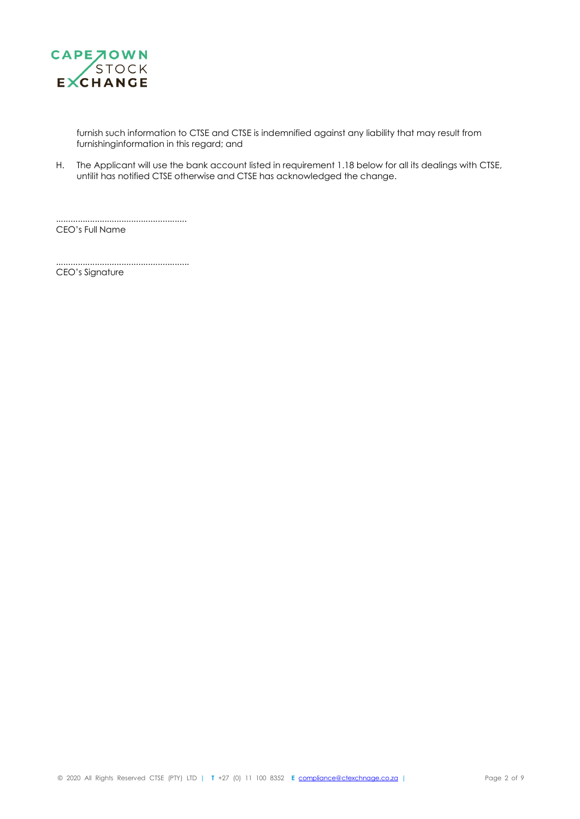

furnish such information to CTSE and CTSE is indemnified against any liability that may result from furnishinginformation in this regard; and

H. The Applicant will use the bank account listed in requirement 1.18 below for all its dealings with CTSE, untilit has notified CTSE otherwise and CTSE has acknowledged the change.

CEO's Full Name

....................................................... CEO's Signature

......................................................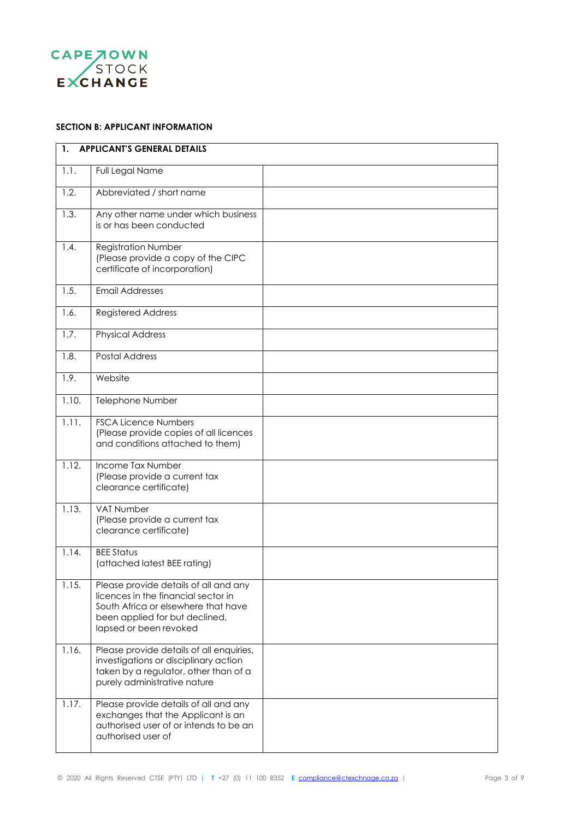

# **SECTION B: APPLICANT INFORMATION**

| $\mathbf{1}$ . | <b>APPLICANT'S GENERAL DETAILS</b>                                                                                                                                              |  |  |
|----------------|---------------------------------------------------------------------------------------------------------------------------------------------------------------------------------|--|--|
| 1.1.           | Full Legal Name                                                                                                                                                                 |  |  |
| 1.2.           | Abbreviated / short name                                                                                                                                                        |  |  |
| 1.3.           | Any other name under which business<br>is or has been conducted                                                                                                                 |  |  |
| 1.4.           | <b>Registration Number</b><br>(Please provide a copy of the CIPC<br>certificate of incorporation)                                                                               |  |  |
| 1.5.           | <b>Email Addresses</b>                                                                                                                                                          |  |  |
| 1.6.           | <b>Registered Address</b>                                                                                                                                                       |  |  |
| 1.7.           | <b>Physical Address</b>                                                                                                                                                         |  |  |
| 1.8.           | <b>Postal Address</b>                                                                                                                                                           |  |  |
| 1.9.           | Website                                                                                                                                                                         |  |  |
| 1.10.          | Telephone Number                                                                                                                                                                |  |  |
| 1.11.          | <b>FSCA Licence Numbers</b><br>(Please provide copies of all licences<br>and conditions attached to them)                                                                       |  |  |
| 1.12.          | Income Tax Number<br>(Please provide a current tax<br>clearance certificate)                                                                                                    |  |  |
| 1.13.          | VAT Number<br>(Please provide a current tax<br>clearance certificate)                                                                                                           |  |  |
| 1.14.          | <b>BEE Status</b><br>(attached latest BEE rating)                                                                                                                               |  |  |
| 1.15.          | Please provide details of all and any<br>licences in the financial sector in<br>South Africa or elsewhere that have<br>been applied for but declined,<br>lapsed or been revoked |  |  |
| 1.16.          | Please provide details of all enquiries,<br>investigations or disciplinary action<br>taken by a regulator, other than of a<br>purely administrative nature                      |  |  |
| 1.17.          | Please provide details of all and any<br>exchanges that the Applicant is an<br>authorised user of or intends to be an<br>authorised user of                                     |  |  |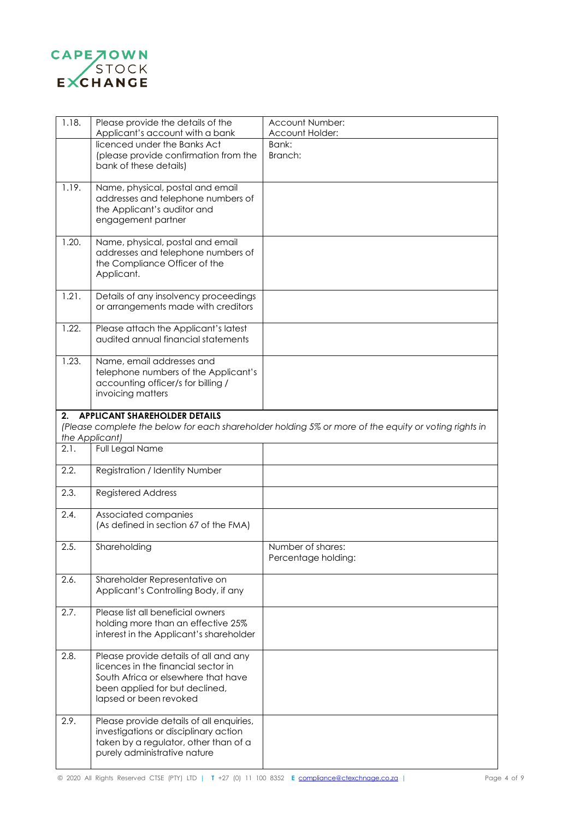

| 1.18. | Please provide the details of the                                     | Account Number:                                                                                      |
|-------|-----------------------------------------------------------------------|------------------------------------------------------------------------------------------------------|
|       | Applicant's account with a bank                                       | Account Holder:                                                                                      |
|       | licenced under the Banks Act                                          | Bank:                                                                                                |
|       | (please provide confirmation from the                                 | Branch:                                                                                              |
|       | bank of these details)                                                |                                                                                                      |
| 1.19. | Name, physical, postal and email                                      |                                                                                                      |
|       | addresses and telephone numbers of                                    |                                                                                                      |
|       | the Applicant's auditor and                                           |                                                                                                      |
|       | engagement partner                                                    |                                                                                                      |
|       |                                                                       |                                                                                                      |
| 1.20. | Name, physical, postal and email                                      |                                                                                                      |
|       | addresses and telephone numbers of                                    |                                                                                                      |
|       | the Compliance Officer of the                                         |                                                                                                      |
|       | Applicant.                                                            |                                                                                                      |
|       |                                                                       |                                                                                                      |
| 1.21. | Details of any insolvency proceedings                                 |                                                                                                      |
|       | or arrangements made with creditors                                   |                                                                                                      |
|       |                                                                       |                                                                                                      |
| 1.22. | Please attach the Applicant's latest                                  |                                                                                                      |
|       | audited annual financial statements                                   |                                                                                                      |
| 1.23. | Name, email addresses and                                             |                                                                                                      |
|       | telephone numbers of the Applicant's                                  |                                                                                                      |
|       | accounting officer/s for billing /                                    |                                                                                                      |
|       | invoicing matters                                                     |                                                                                                      |
|       |                                                                       |                                                                                                      |
| 2.    | <b>APPLICANT SHAREHOLDER DETAILS</b>                                  |                                                                                                      |
|       |                                                                       | (Please complete the below for each shareholder holding 5% or more of the equity or voting rights in |
|       |                                                                       |                                                                                                      |
|       |                                                                       |                                                                                                      |
|       | the Applicant)                                                        |                                                                                                      |
| 2.1.  | Full Legal Name                                                       |                                                                                                      |
| 2.2.  | Registration / Identity Number                                        |                                                                                                      |
|       |                                                                       |                                                                                                      |
| 2.3.  | <b>Registered Address</b>                                             |                                                                                                      |
|       |                                                                       |                                                                                                      |
| 2.4.  | Associated companies                                                  |                                                                                                      |
|       | (As defined in section 67 of the FMA)                                 |                                                                                                      |
|       |                                                                       |                                                                                                      |
| 2.5.  | Shareholding                                                          | Number of shares:                                                                                    |
|       |                                                                       | Percentage holding:                                                                                  |
|       |                                                                       |                                                                                                      |
| 2.6.  | Shareholder Representative on<br>Applicant's Controlling Body, if any |                                                                                                      |
|       |                                                                       |                                                                                                      |
| 2.7.  | Please list all beneficial owners                                     |                                                                                                      |
|       | holding more than an effective 25%                                    |                                                                                                      |
|       | interest in the Applicant's shareholder                               |                                                                                                      |
|       |                                                                       |                                                                                                      |
| 2.8.  | Please provide details of all and any                                 |                                                                                                      |
|       | licences in the financial sector in                                   |                                                                                                      |
|       | South Africa or elsewhere that have                                   |                                                                                                      |
|       | been applied for but declined,                                        |                                                                                                      |
|       | lapsed or been revoked                                                |                                                                                                      |
|       |                                                                       |                                                                                                      |
| 2.9.  | Please provide details of all enquiries,                              |                                                                                                      |
|       | investigations or disciplinary action                                 |                                                                                                      |
|       | taken by a regulator, other than of a                                 |                                                                                                      |
|       | purely administrative nature                                          |                                                                                                      |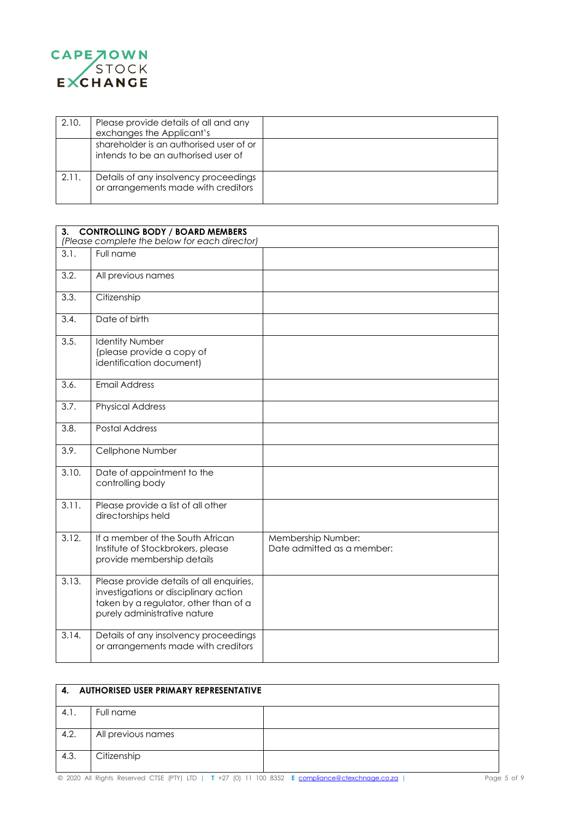

| 2.10. | Please provide details of all and any<br>exchanges the Applicant's             |  |
|-------|--------------------------------------------------------------------------------|--|
|       | shareholder is an authorised user of or<br>intends to be an authorised user of |  |
| 2.11. | Details of any insolvency proceedings<br>or arrangements made with creditors   |  |

| <b>CONTROLLING BODY / BOARD MEMBERS</b><br>3.<br>(Please complete the below for each director) |                                                                                                                                                            |                                                  |
|------------------------------------------------------------------------------------------------|------------------------------------------------------------------------------------------------------------------------------------------------------------|--------------------------------------------------|
| 3.1.                                                                                           | Full name                                                                                                                                                  |                                                  |
| 3.2.                                                                                           | All previous names                                                                                                                                         |                                                  |
| 3.3.                                                                                           | Citizenship                                                                                                                                                |                                                  |
| 3.4.                                                                                           | Date of birth                                                                                                                                              |                                                  |
| 3.5.                                                                                           | <b>Identity Number</b><br>(please provide a copy of<br>identification document)                                                                            |                                                  |
| 3.6.                                                                                           | <b>Email Address</b>                                                                                                                                       |                                                  |
| 3.7.                                                                                           | <b>Physical Address</b>                                                                                                                                    |                                                  |
| 3.8.                                                                                           | <b>Postal Address</b>                                                                                                                                      |                                                  |
| 3.9.                                                                                           | Cellphone Number                                                                                                                                           |                                                  |
| 3.10.                                                                                          | Date of appointment to the<br>controlling body                                                                                                             |                                                  |
| 3.11.                                                                                          | Please provide a list of all other<br>directorships held                                                                                                   |                                                  |
| 3.12.                                                                                          | If a member of the South African<br>Institute of Stockbrokers, please<br>provide membership details                                                        | Membership Number:<br>Date admitted as a member: |
| 3.13.                                                                                          | Please provide details of all enquiries,<br>investigations or disciplinary action<br>taken by a regulator, other than of a<br>purely administrative nature |                                                  |
| 3.14.                                                                                          | Details of any insolvency proceedings<br>or arrangements made with creditors                                                                               |                                                  |

| 4.   | AUTHORISED USER PRIMARY REPRESENTATIVE |  |
|------|----------------------------------------|--|
| 4.1. | Full name                              |  |
| 4.2. | All previous names                     |  |
| 4.3. | Citizenship                            |  |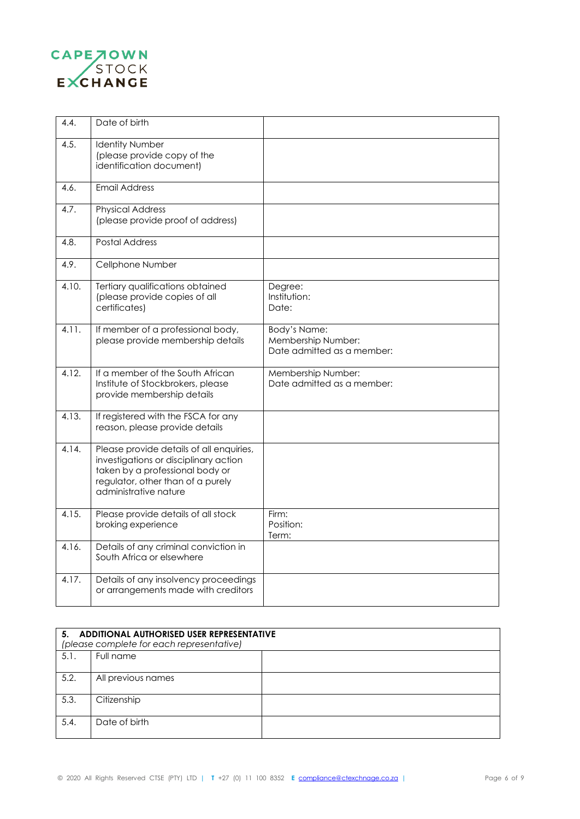

| 4.4.  | Date of birth                                                                                                                                                                      |                                                                  |
|-------|------------------------------------------------------------------------------------------------------------------------------------------------------------------------------------|------------------------------------------------------------------|
| 4.5.  | <b>Identity Number</b><br>(please provide copy of the<br>identification document)                                                                                                  |                                                                  |
| 4.6.  | <b>Email Address</b>                                                                                                                                                               |                                                                  |
| 4.7.  | <b>Physical Address</b><br>(please provide proof of address)                                                                                                                       |                                                                  |
| 4.8.  | <b>Postal Address</b>                                                                                                                                                              |                                                                  |
| 4.9.  | Cellphone Number                                                                                                                                                                   |                                                                  |
| 4.10. | Tertiary qualifications obtained<br>(please provide copies of all<br>certificates)                                                                                                 | Degree:<br>Institution:<br>Date:                                 |
| 4.11. | If member of a professional body,<br>please provide membership details                                                                                                             | Body's Name:<br>Membership Number:<br>Date admitted as a member: |
| 4.12. | If a member of the South African<br>Institute of Stockbrokers, please<br>provide membership details                                                                                | Membership Number:<br>Date admitted as a member:                 |
| 4.13. | If registered with the FSCA for any<br>reason, please provide details                                                                                                              |                                                                  |
| 4.14. | Please provide details of all enquiries,<br>investigations or disciplinary action<br>taken by a professional body or<br>regulator, other than of a purely<br>administrative nature |                                                                  |
| 4.15. | Please provide details of all stock<br>broking experience                                                                                                                          | Firm:<br>Position:<br>Term:                                      |
| 4.16. | Details of any criminal conviction in<br>South Africa or elsewhere                                                                                                                 |                                                                  |
| 4.17. | Details of any insolvency proceedings<br>or arrangements made with creditors                                                                                                       |                                                                  |

|      | 5. ADDITIONAL AUTHORISED USER REPRESENTATIVE<br>(please complete for each representative) |  |
|------|-------------------------------------------------------------------------------------------|--|
| 5.1. | Full name                                                                                 |  |
| 5.2. | All previous names                                                                        |  |
| 5.3. | Citizenship                                                                               |  |
| 5.4. | Date of birth                                                                             |  |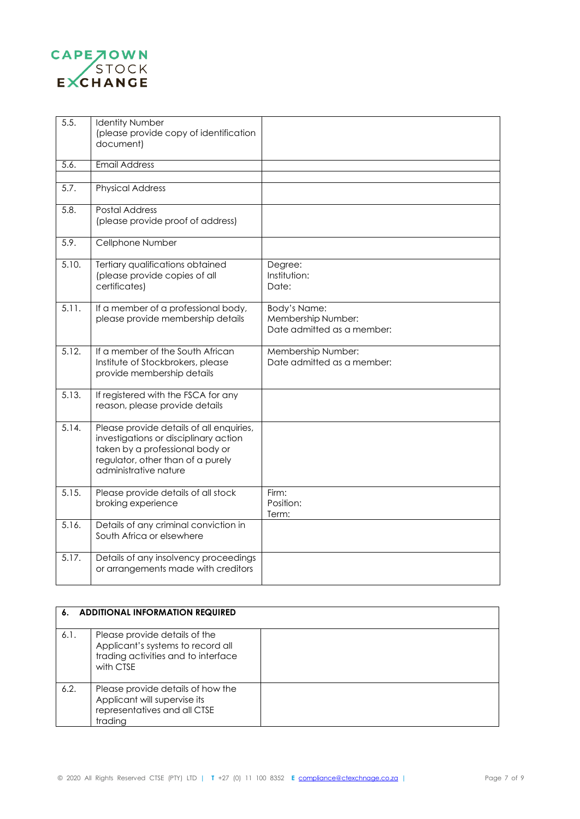

| 5.5.  | <b>Identity Number</b><br>(please provide copy of identification<br>document)                                                                                                      |                                                                  |
|-------|------------------------------------------------------------------------------------------------------------------------------------------------------------------------------------|------------------------------------------------------------------|
| 5.6.  | <b>Email Address</b>                                                                                                                                                               |                                                                  |
| 5.7.  | <b>Physical Address</b>                                                                                                                                                            |                                                                  |
| 5.8.  | Postal Address<br>(please provide proof of address)                                                                                                                                |                                                                  |
| 5.9.  | Cellphone Number                                                                                                                                                                   |                                                                  |
| 5.10. | Tertiary qualifications obtained<br>(please provide copies of all<br>certificates)                                                                                                 | Degree:<br>Institution:<br>Date:                                 |
| 5.11. | If a member of a professional body,<br>please provide membership details                                                                                                           | Body's Name:<br>Membership Number:<br>Date admitted as a member: |
| 5.12. | If a member of the South African<br>Institute of Stockbrokers, please<br>provide membership details                                                                                | Membership Number:<br>Date admitted as a member:                 |
| 5.13. | If registered with the FSCA for any<br>reason, please provide details                                                                                                              |                                                                  |
| 5.14. | Please provide details of all enquiries,<br>investigations or disciplinary action<br>taken by a professional body or<br>regulator, other than of a purely<br>administrative nature |                                                                  |
| 5.15. | Please provide details of all stock<br>broking experience                                                                                                                          | Firm:<br>Position:<br>Term:                                      |
| 5.16. | Details of any criminal conviction in<br>South Africa or elsewhere                                                                                                                 |                                                                  |
| 5.17. | Details of any insolvency proceedings<br>or arrangements made with creditors                                                                                                       |                                                                  |

| 6.   | <b>ADDITIONAL INFORMATION REQUIRED</b>                                                                                 |  |
|------|------------------------------------------------------------------------------------------------------------------------|--|
| 6.1. | Please provide details of the<br>Applicant's systems to record all<br>trading activities and to interface<br>with CTSE |  |
| 6.2. | Please provide details of how the<br>Applicant will supervise its<br>representatives and all CTSE<br>trading           |  |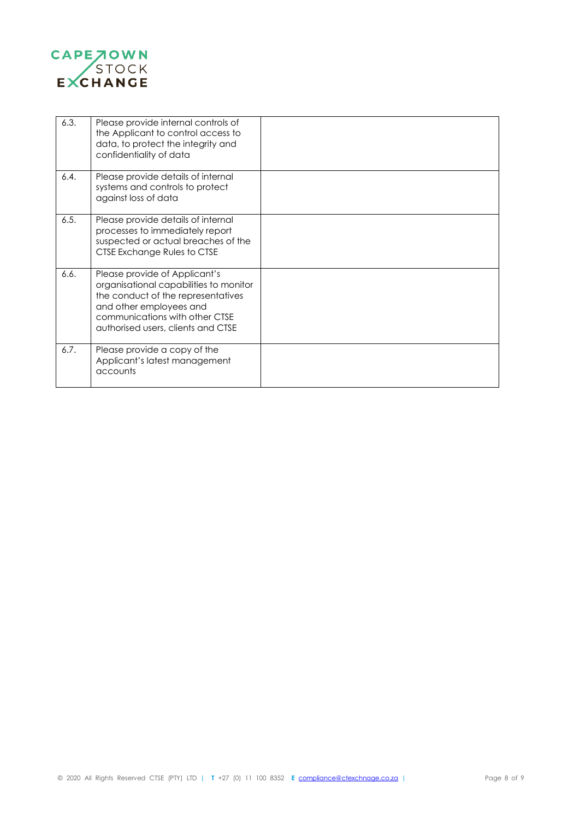

| 6.3. | Please provide internal controls of<br>the Applicant to control access to<br>data, to protect the integrity and<br>confidentiality of data                                                                       |  |
|------|------------------------------------------------------------------------------------------------------------------------------------------------------------------------------------------------------------------|--|
| 6.4. | Please provide details of internal<br>systems and controls to protect<br>against loss of data                                                                                                                    |  |
| 6.5. | Please provide details of internal<br>processes to immediately report<br>suspected or actual breaches of the<br>CTSE Exchange Rules to CTSE                                                                      |  |
| 6.6. | Please provide of Applicant's<br>organisational capabilities to monitor<br>the conduct of the representatives<br>and other employees and<br>communications with other CTSE<br>authorised users, clients and CTSE |  |
| 6.7. | Please provide a copy of the<br>Applicant's latest management<br>accounts                                                                                                                                        |  |